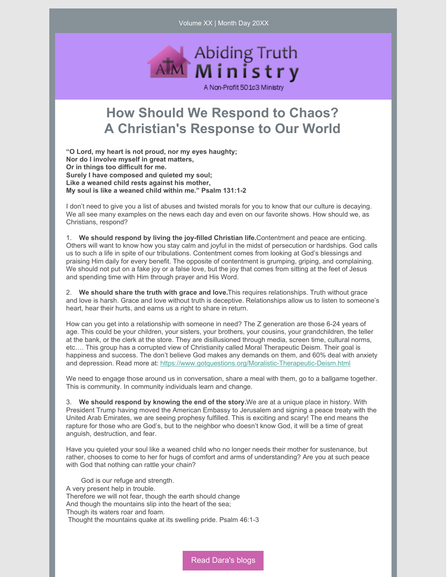Volume XX | Month Day 20XX



## **How Should We Respond to Chaos? A Christian's Response to Our World**

**"O Lord, my heart is not proud, nor my eyes haughty; Nor do I involve myself in great matters, Or in things too difficult for me. Surely I have composed and quieted my soul; Like a weaned child rests against his mother, My soul is like a weaned child within me." Psalm 131:1-2**

I don't need to give you a list of abuses and twisted morals for you to know that our culture is decaying. We all see many examples on the news each day and even on our favorite shows. How should we, as Christians, respond?

1. **We should respond by living the joy-filled Christian life.**Contentment and peace are enticing. Others will want to know how you stay calm and joyful in the midst of persecution or hardships. God calls us to such a life in spite of our tribulations. Contentment comes from looking at God's blessings and praising Him daily for every benefit. The opposite of contentment is grumping, griping, and complaining. We should not put on a fake joy or a false love, but the joy that comes from sitting at the feet of Jesus and spending time with Him through prayer and His Word.

2. **We should share the truth with grace and love.**This requires relationships. Truth without grace and love is harsh. Grace and love without truth is deceptive. Relationships allow us to listen to someone's heart, hear their hurts, and earns us a right to share in return.

How can you get into a relationship with someone in need? The Z generation are those 6-24 years of age. This could be your children, your sisters, your brothers, your cousins, your grandchildren, the teller at the bank, or the clerk at the store. They are disillusioned through media, screen time, cultural norms, etc…. This group has a corrupted view of Christianity called Moral Therapeutic Deism. Their goal is happiness and success. The don't believe God makes any demands on them, and 60% deal with anxiety and depression. Read more at: <https://www.gotquestions.org/Moralistic-Therapeutic-Deism.html>

We need to engage those around us in conversation, share a meal with them, go to a ballgame together. This is community. In community individuals learn and change.

3. **We should respond by knowing the end of the story.**We are at a unique place in history. With President Trump having moved the American Embassy to Jerusalem and signing a peace treaty with the United Arab Emirates, we are seeing prophesy fulfilled. This is exciting and scary! The end means the rapture for those who are God's, but to the neighbor who doesn't know God, it will be a time of great anguish, destruction, and fear.

Have you quieted your soul like a weaned child who no longer needs their mother for sustenance, but rather, chooses to come to her for hugs of comfort and arms of understanding? Are you at such peace with God that nothing can rattle your chain?

God is our refuge and strength. A very present help in trouble. Therefore we will not fear, though the earth should change And though the mountains slip into the heart of the sea; Though its waters roar and foam. Thought the mountains quake at its swelling pride. Psalm 46:1-3

Read [Dara's](https://www.abidingtruthministry.com/blog/) blogs